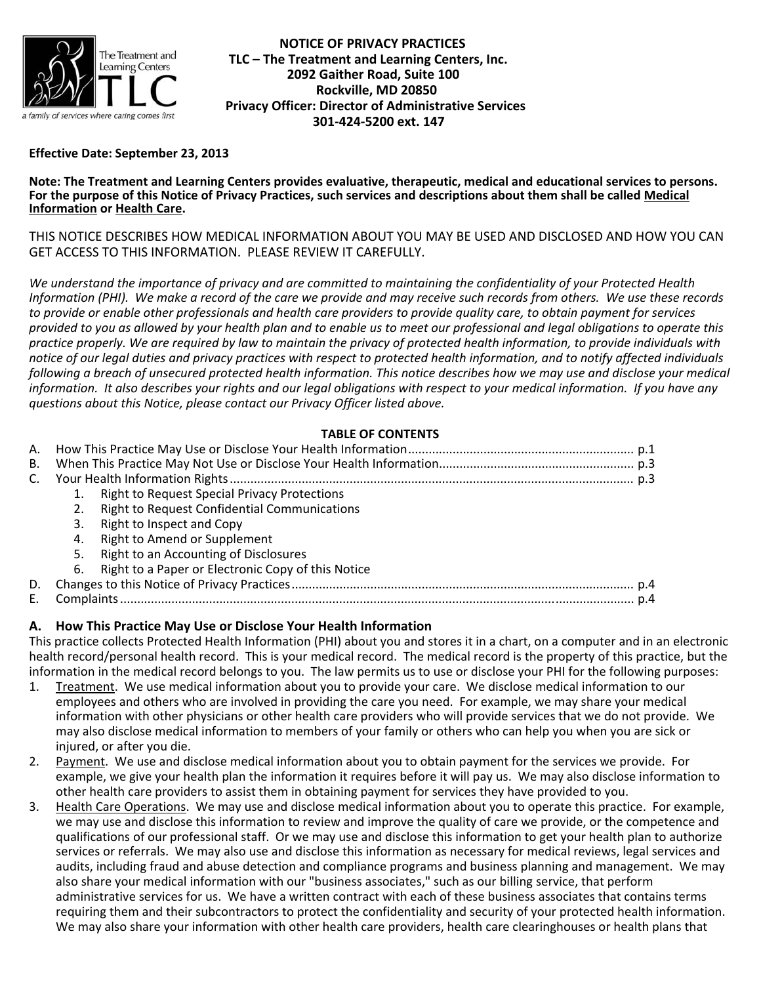

 **NOTICE OF PRIVACY PRACTICES TLC – The Treatment and Learning Centers, Inc. 2092 Gaither Road, Suite 100 Rockville, MD 20850 Privacy Officer: Director of Administrative Services 301‐424‐5200 ext. 147**

## **Effective Date: September 23, 2013**

Note: The Treatment and Learning Centers provides evaluative, therapeutic, medical and educational services to persons.<br>For the purpose of this Notice of Privacy Practices, such services and descriptions about them shall b **Information or Health Care.**

THIS NOTICE DESCRIBES HOW MEDICAL INFORMATION ABOUT YOU MAY BE USED AND DISCLOSED AND HOW YOU CAN GET ACCESS TO THIS INFORMATION. PLEASE REVIEW IT CAREFULLY.

We understand the importance of privacy and are committed to maintaining the confidentiality of your Protected Health Information (PHI). We make a record of the care we provide and may receive such records from others. We use these records to provide or enable other professionals and health care providers to provide quality care, to obtain payment for services provided to you as allowed by your health plan and to enable us to meet our professional and legal obligations to operate this practice properly. We are required by law to maintain the privacy of protected health information, to provide individuals with notice of our legal duties and privacy practices with respect to protected health information, and to notify affected individuals following a breach of unsecured protected health information. This notice describes how we may use and disclose your medical information. It also describes your rights and our legal obligations with respect to your medical information. If you have any *questions about this Notice, please contact our Privacy Officer listed above.*

## **TABLE OF CONTENTS**

| В. |    |                                                     |  |
|----|----|-----------------------------------------------------|--|
| C. |    |                                                     |  |
|    |    | 1. Right to Request Special Privacy Protections     |  |
|    |    | <b>Right to Request Confidential Communications</b> |  |
|    | 3. | Right to Inspect and Copy                           |  |
|    | 4. | Right to Amend or Supplement                        |  |
|    | 5. | Right to an Accounting of Disclosures               |  |
|    | 6. | Right to a Paper or Electronic Copy of this Notice  |  |
| D. |    |                                                     |  |
|    |    |                                                     |  |

## **A. How This Practice May Use or Disclose Your Health Information**

This practice collects Protected Health Information (PHI) about you and stores it in a chart, on a computer and in an electronic health record/personal health record. This is your medical record. The medical record is the property of this practice, but the information in the medical record belongs to you. The law permits us to use or disclose your PHI for the following purposes:

- 1. Treatment. We use medical information about you to provide your care. We disclose medical information to our employees and others who are involved in providing the care you need. For example, we may share your medical information with other physicians or other health care providers who will provide services that we do not provide. We may also disclose medical information to members of your family or others who can help you when you are sick or injured, or after you die.
- 2. Payment. We use and disclose medical information about you to obtain payment for the services we provide. For example, we give your health plan the information it requires before it will pay us. We may also disclose information to other health care providers to assist them in obtaining payment for services they have provided to you.
- 3. Health Care Operations. We may use and disclose medical information about you to operate this practice. For example, we may use and disclose this information to review and improve the quality of care we provide, or the competence and qualifications of our professional staff. Or we may use and disclose this information to get your health plan to authorize services or referrals. We may also use and disclose this information as necessary for medical reviews, legal services and audits, including fraud and abuse detection and compliance programs and business planning and management. We may also share your medical information with our "business associates," such as our billing service, that perform administrative services for us. We have a written contract with each of these business associates that contains terms requiring them and their subcontractors to protect the confidentiality and security of your protected health information. We may also share your information with other health care providers, health care clearinghouses or health plans that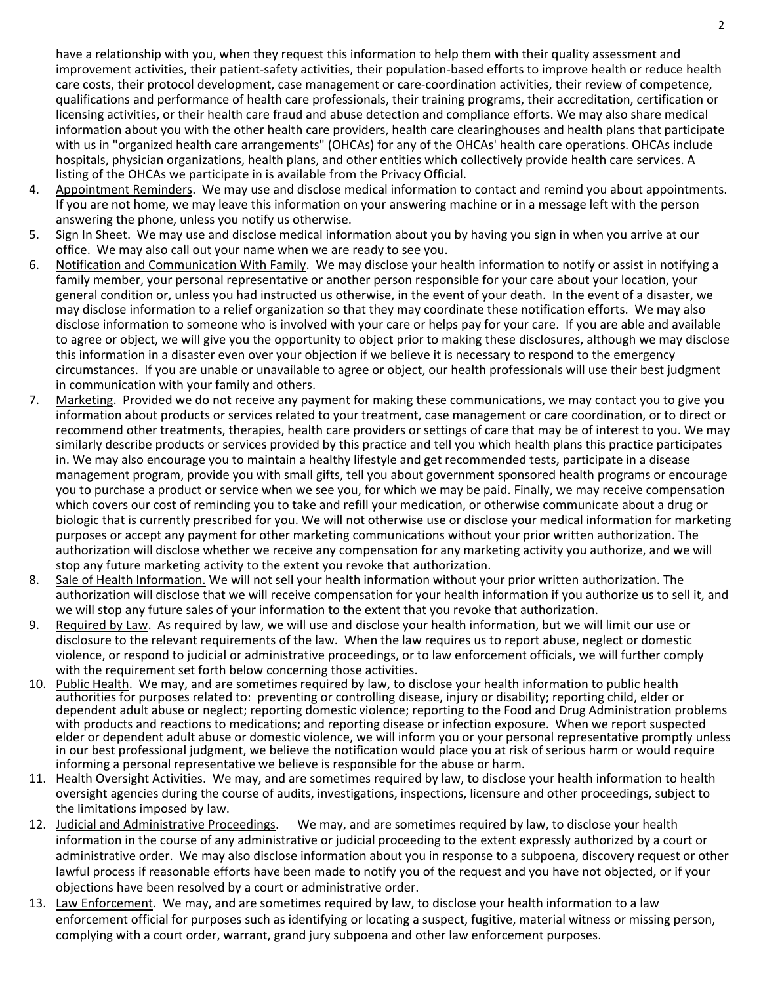have a relationship with you, when they request this information to help them with their quality assessment and improvement activities, their patient‐safety activities, their population‐based efforts to improve health or reduce health care costs, their protocol development, case management or care‐coordination activities, their review of competence, qualifications and performance of health care professionals, their training programs, their accreditation, certification or licensing activities, or their health care fraud and abuse detection and compliance efforts. We may also share medical information about you with the other health care providers, health care clearinghouses and health plans that participate with us in "organized health care arrangements" (OHCAs) for any of the OHCAs' health care operations. OHCAs include hospitals, physician organizations, health plans, and other entities which collectively provide health care services. A listing of the OHCAs we participate in is available from the Privacy Official.

- 4. Appointment Reminders. We may use and disclose medical information to contact and remind you about appointments. If you are not home, we may leave this information on your answering machine or in a message left with the person answering the phone, unless you notify us otherwise.
- 5. Sign In Sheet. We may use and disclose medical information about you by having you sign in when you arrive at our office. We may also call out your name when we are ready to see you.
- 6. Notification and Communication With Family. We may disclose your health information to notify or assist in notifying a family member, your personal representative or another person responsible for your care about your location, your general condition or, unless you had instructed us otherwise, in the event of your death. In the event of a disaster, we may disclose information to a relief organization so that they may coordinate these notification efforts. We may also disclose information to someone who is involved with your care or helps pay for your care. If you are able and available to agree or object, we will give you the opportunity to object prior to making these disclosures, although we may disclose this information in a disaster even over your objection if we believe it is necessary to respond to the emergency circumstances. If you are unable or unavailable to agree or object, our health professionals will use their best judgment in communication with your family and others.
- 7. Marketing. Provided we do not receive any payment for making these communications, we may contact you to give you information about products or services related to your treatment, case management or care coordination, or to direct or recommend other treatments, therapies, health care providers or settings of care that may be of interest to you. We may similarly describe products or services provided by this practice and tell you which health plans this practice participates in. We may also encourage you to maintain a healthy lifestyle and get recommended tests, participate in a disease management program, provide you with small gifts, tell you about government sponsored health programs or encourage you to purchase a product or service when we see you, for which we may be paid. Finally, we may receive compensation which covers our cost of reminding you to take and refill your medication, or otherwise communicate about a drug or biologic that is currently prescribed for you. We will not otherwise use or disclose your medical information for marketing purposes or accept any payment for other marketing communications without your prior written authorization. The authorization will disclose whether we receive any compensation for any marketing activity you authorize, and we will stop any future marketing activity to the extent you revoke that authorization.
- 8. Sale of Health Information. We will not sell your health information without your prior written authorization. The authorization will disclose that we will receive compensation for your health information if you authorize us to sell it, and we will stop any future sales of your information to the extent that you revoke that authorization.
- 9. Required by Law. As required by law, we will use and disclose your health information, but we will limit our use or disclosure to the relevant requirements of the law. When the law requires us to report abuse, neglect or domestic violence, or respond to judicial or administrative proceedings, or to law enforcement officials, we will further comply with the requirement set forth below concerning those activities.
- 10. Public Health. We may, and are sometimes required by law, to disclose your health information to public health authorities for purposes related to: preventing or controlling disease, injury or disability; reporting child, elder or dependent adult abuse or neglect; reporting domestic violence; reporting to the Food and Drug Administration problems with products and reactions to medications; and reporting disease or infection exposure. When we report suspected elder or dependent adult abuse or domestic violence, we will inform you or your personal representative promptly unless in our best professional judgment, we believe the notification would place you at risk of serious harm or would require informing a personal representative we believe is responsible for the abuse or harm.
- 11. Health Oversight Activities. We may, and are sometimes required by law, to disclose your health information to health oversight agencies during the course of audits, investigations, inspections, licensure and other proceedings, subject to the limitations imposed by law.
- 12. Judicial and Administrative Proceedings. We may, and are sometimes required by law, to disclose your health information in the course of any administrative or judicial proceeding to the extent expressly authorized by a court or administrative order. We may also disclose information about you in response to a subpoena, discovery request or other lawful process if reasonable efforts have been made to notify you of the request and you have not objected, or if your objections have been resolved by a court or administrative order.
- 13. Law Enforcement. We may, and are sometimes required by law, to disclose your health information to a law enforcement official for purposes such as identifying or locating a suspect, fugitive, material witness or missing person, complying with a court order, warrant, grand jury subpoena and other law enforcement purposes.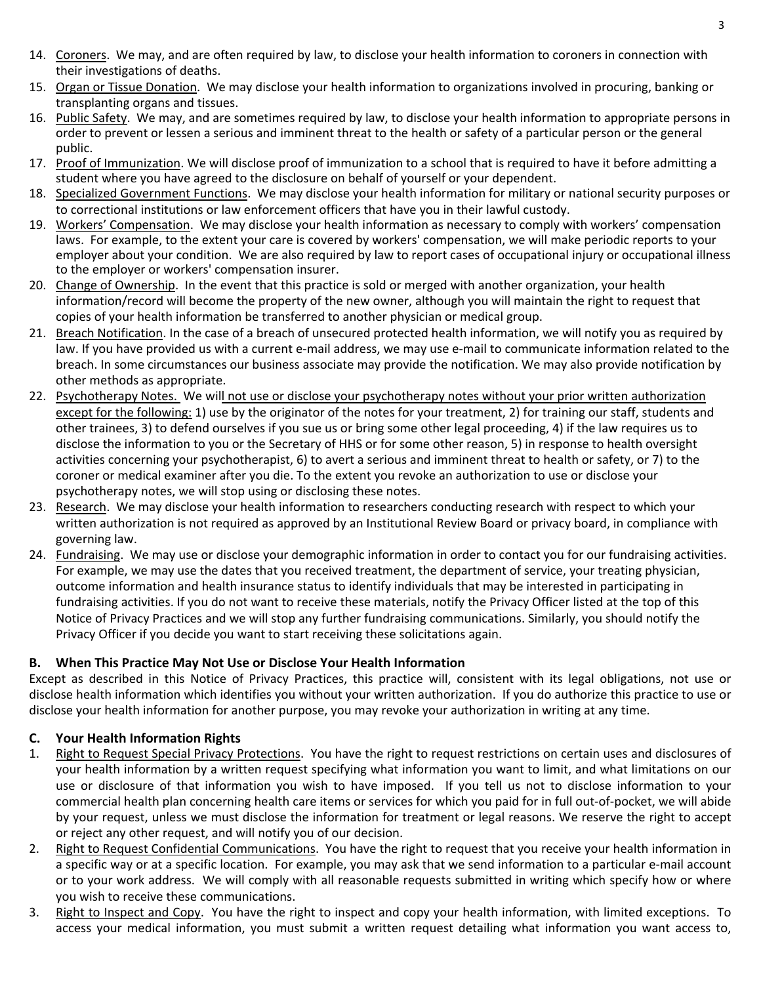- 14. Coroners. We may, and are often required by law, to disclose your health information to coroners in connection with their investigations of deaths.
- 15. Organ or Tissue Donation. We may disclose your health information to organizations involved in procuring, banking or transplanting organs and tissues.
- 16. Public Safety. We may, and are sometimes required by law, to disclose your health information to appropriate persons in order to prevent or lessen a serious and imminent threat to the health or safety of a particular person or the general public.
- 17. Proof of Immunization. We will disclose proof of immunization to a school that is required to have it before admitting a student where you have agreed to the disclosure on behalf of yourself or your dependent.
- 18. Specialized Government Functions. We may disclose your health information for military or national security purposes or to correctional institutions or law enforcement officers that have you in their lawful custody.
- 19. Workers' Compensation. We may disclose your health information as necessary to comply with workers' compensation laws. For example, to the extent your care is covered by workers' compensation, we will make periodic reports to your employer about your condition. We are also required by law to report cases of occupational injury or occupational illness to the employer or workers' compensation insurer.
- 20. Change of Ownership. In the event that this practice is sold or merged with another organization, your health information/record will become the property of the new owner, although you will maintain the right to request that copies of your health information be transferred to another physician or medical group.
- 21. Breach Notification. In the case of a breach of unsecured protected health information, we will notify you as required by law. If you have provided us with a current e-mail address, we may use e-mail to communicate information related to the breach. In some circumstances our business associate may provide the notification. We may also provide notification by other methods as appropriate.
- 22. Psychotherapy Notes. We will not use or disclose your psychotherapy notes without your prior written authorization except for the following: 1) use by the originator of the notes for your treatment, 2) for training our staff, students and other trainees, 3) to defend ourselves if you sue us or bring some other legal proceeding, 4) if the law requires us to disclose the information to you or the Secretary of HHS or for some other reason, 5) in response to health oversight activities concerning your psychotherapist, 6) to avert a serious and imminent threat to health or safety, or 7) to the coroner or medical examiner after you die. To the extent you revoke an authorization to use or disclose your psychotherapy notes, we will stop using or disclosing these notes.
- 23. Research. We may disclose your health information to researchers conducting research with respect to which your written authorization is not required as approved by an Institutional Review Board or privacy board, in compliance with governing law.
- 24. Fundraising. We may use or disclose your demographic information in order to contact you for our fundraising activities. For example, we may use the dates that you received treatment, the department of service, your treating physician, outcome information and health insurance status to identify individuals that may be interested in participating in fundraising activities. If you do not want to receive these materials, notify the Privacy Officer listed at the top of this Notice of Privacy Practices and we will stop any further fundraising communications. Similarly, you should notify the Privacy Officer if you decide you want to start receiving these solicitations again.

# **B. When This Practice May Not Use or Disclose Your Health Information**

Except as described in this Notice of Privacy Practices, this practice will, consistent with its legal obligations, not use or disclose health information which identifies you without your written authorization. If you do authorize this practice to use or disclose your health information for another purpose, you may revoke your authorization in writing at any time.

# **C. Your Health Information Rights**

- 1. Right to Request Special Privacy Protections. You have the right to request restrictions on certain uses and disclosures of your health information by a written request specifying what information you want to limit, and what limitations on our use or disclosure of that information you wish to have imposed. If you tell us not to disclose information to your commercial health plan concerning health care items or services for which you paid for in full out‐of‐pocket, we will abide by your request, unless we must disclose the information for treatment or legal reasons. We reserve the right to accept or reject any other request, and will notify you of our decision.
- 2. Right to Request Confidential Communications. You have the right to request that you receive your health information in a specific way or at a specific location. For example, you may ask that we send information to a particular e-mail account or to your work address. We will comply with all reasonable requests submitted in writing which specify how or where you wish to receive these communications.
- 3. Right to Inspect and Copy. You have the right to inspect and copy your health information, with limited exceptions. To access your medical information, you must submit a written request detailing what information you want access to,